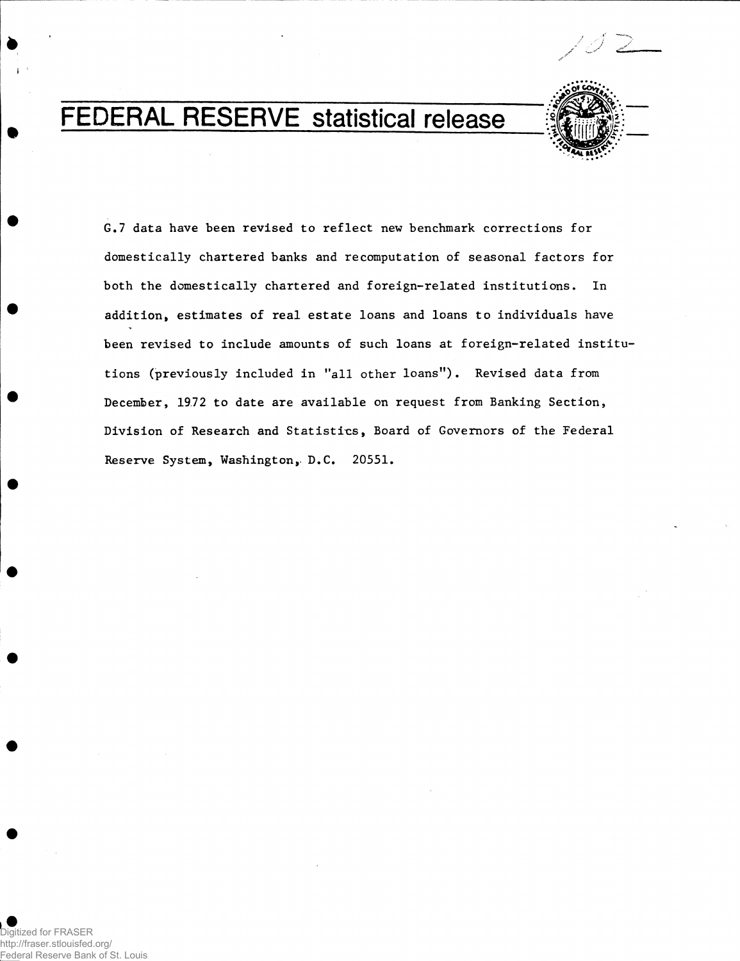

# FEDERAL RESERVE statistical release



**G.7 data have been revised to reflect new benchmark corrections for domestically chartered banks and recomputation of seasonal factors for both the domestically chartered and foreign-related institutions. In addition\* estimates of real estate loans and loans to individuals have been revised to include amounts of such loans at foreign-related institutions (previously included in "all other loans"). Revised data from December, 19.72 to date are available on request from Banking Section, Division of Research and Statistics, Board of Governors of the Federal Reserve System, Washington, D.C. 20551.**

**#**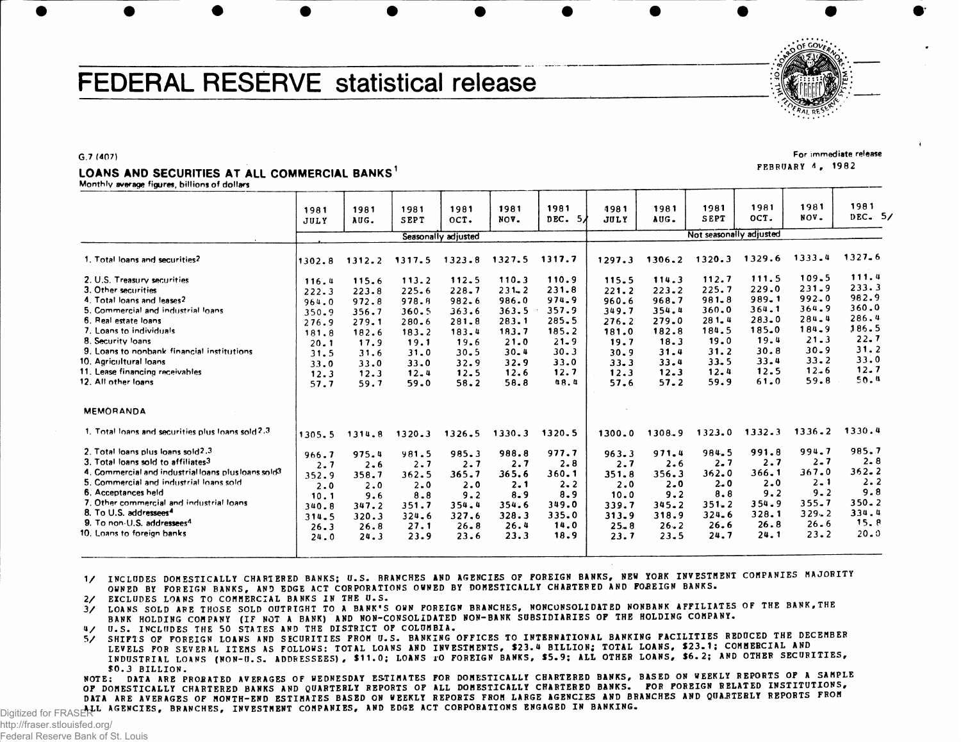# FEDERAL RESERVE statistical release



FEBRUARY 4 , 1982

For immediate release

G.7 (407)

### LOANS AND SECURITIES AT ALL COMMERCIAL BANKS<sup>1</sup>

Monthly average figures, billions of dollars

|                                                                                                                                                                                                                                                                                                                                                                        | 1981<br>JULY                                                                               | 1981<br>AUG.                                                                               | 1981<br>SEPT                                                                                       | 1981<br>OCT.                                                                               | 1981<br>NOV.                                                                                   | 1981<br>DEC.<br>5/                                                                              | 1981<br><b>JULY</b>                                                                                | 1981<br>AUG.                                                                               | 1981<br>SEPT                                                                                   | 1981<br>OCT.                                                                                   | 1981<br>NOV.                                                                                               | 1981<br>DEC. 5/                                                                            |  |  |
|------------------------------------------------------------------------------------------------------------------------------------------------------------------------------------------------------------------------------------------------------------------------------------------------------------------------------------------------------------------------|--------------------------------------------------------------------------------------------|--------------------------------------------------------------------------------------------|----------------------------------------------------------------------------------------------------|--------------------------------------------------------------------------------------------|------------------------------------------------------------------------------------------------|-------------------------------------------------------------------------------------------------|----------------------------------------------------------------------------------------------------|--------------------------------------------------------------------------------------------|------------------------------------------------------------------------------------------------|------------------------------------------------------------------------------------------------|------------------------------------------------------------------------------------------------------------|--------------------------------------------------------------------------------------------|--|--|
|                                                                                                                                                                                                                                                                                                                                                                        | Seasonally adjusted                                                                        |                                                                                            |                                                                                                    |                                                                                            |                                                                                                |                                                                                                 |                                                                                                    | Not seasonally adjusted                                                                    |                                                                                                |                                                                                                |                                                                                                            |                                                                                            |  |  |
| 1. Total loans and securities?                                                                                                                                                                                                                                                                                                                                         | 1302.8                                                                                     | 1312.2                                                                                     | 1317.5                                                                                             | 1323.8                                                                                     | 1327.5                                                                                         | 1317.7                                                                                          | 1297.3                                                                                             | 1306.2                                                                                     | 1320.3                                                                                         | 1329.6                                                                                         | 1333.4                                                                                                     | $1327 - 6$                                                                                 |  |  |
| 2. U.S. Treasury securities<br>3. Other securities<br>4. Total loans and leases?<br>5. Commercial and industrial loans<br>6. Real estate loans<br>7. Loans to individuals<br>8. Security loans<br>9. Loans to nonbank financial institutions<br>10. Agricultural loans<br>11. Lease financing receivables<br>12. All other loans                                       | 116.4<br>222.3<br>964.0<br>350.9<br>276.9<br>181.8<br>20.1<br>31.5<br>33.0<br>12.3<br>57.7 | 115.6<br>223.8<br>972.8<br>356.7<br>279.1<br>182.6<br>17.9<br>31.6<br>33.0<br>12.3<br>59.7 | 113.2<br>$225 - 6$<br>978.8<br>360.5<br>$280 - 6$<br>183.2<br>19.1<br>31.0<br>33.0<br>12.4<br>59.0 | 112.5<br>228.7<br>982.6<br>363.6<br>281.8<br>183.4<br>19.6<br>30.5<br>32.9<br>12.5<br>58.2 | 110.3<br>$231 - 2$<br>986.0<br>363.5<br>283.1<br>183.7<br>21.0<br>30.4<br>32.9<br>12.6<br>58.8 | 110.9<br>231.8<br>974.9<br>357.9<br>285.5<br>185.2<br>$21 - 9$<br>30.3<br>33.0<br>12.7<br>0.8.4 | 115.5<br>221.2<br>960.6<br>349.7<br>$276 - 2$<br>181.0<br>19.7<br>30.9<br>$33 - 3$<br>12.3<br>57.6 | 114.3<br>223.2<br>968.7<br>354.4<br>279.0<br>182.8<br>18.3<br>31.4<br>33.4<br>12.3<br>57.2 | 112.7<br>225.7<br>$981 - 8$<br>360.0<br>281.4<br>184.5<br>19.0<br>31.2<br>33.5<br>12.4<br>59.9 | 111.5<br>229.0<br>$989 - 1$<br>364.1<br>283.0<br>185.0<br>19.4<br>30.8<br>33.4<br>12.5<br>61.0 | 109.5<br>231.9<br>992.0<br>364.9<br>284.4<br>$184 - 9$<br>$21 - 3$<br>$30 - 9$<br>$33 - 2$<br>12.6<br>59.8 | 111.4<br>233.3<br>982.9<br>360.0<br>286.4<br>186.5<br>22.7<br>31.2<br>33.0<br>12.7<br>50.4 |  |  |
| <b>MEMORANDA</b>                                                                                                                                                                                                                                                                                                                                                       |                                                                                            |                                                                                            |                                                                                                    |                                                                                            |                                                                                                |                                                                                                 |                                                                                                    |                                                                                            |                                                                                                |                                                                                                |                                                                                                            |                                                                                            |  |  |
| 1. Total loans and securities plus loans sold 2.3                                                                                                                                                                                                                                                                                                                      | 1305.5                                                                                     | 1314.8                                                                                     | 1320.3                                                                                             | 1326.5                                                                                     | 1330.3                                                                                         | 1320.5                                                                                          | 1300.0                                                                                             | 1308.9                                                                                     | 1323.0                                                                                         | 1332.3                                                                                         | $1336 - 2$                                                                                                 | 1330.4                                                                                     |  |  |
| 2. Total loans plus loans sold2.3<br>3. Total loans sold to affiliates3<br>4. Commercial and industrial loans plus loans sold <sup>3</sup><br>5. Commercial and industrial loans sold<br>6. Acceptances held<br>7. Other commercial and industrial loans<br>8. To U.S. addressees <sup>4</sup><br>9. To non-U.S. addressees <sup>4</sup><br>10. Loans to foreign banks | 966.7<br>2.7<br>352.9<br>2.0<br>10.1<br>340.8<br>314.5<br>26.3<br>24.0                     | 975.4<br>2.6<br>358.7<br>2.0<br>9.6<br>347.2<br>320.3<br>26.8<br>24.3                      | 981.5<br>2.7<br>362.5<br>$2 - 0$<br>8.8<br>351.7<br>324.6<br>27.1<br>23.9                          | 985.3<br>2.7<br>365.7<br>2.0<br>9.2<br>354.4<br>327.6<br>$26 - 8$<br>23.6                  | 988.8<br>2.7<br>365.6<br>2.1<br>8.9<br>354.6<br>328.3<br>26.4<br>23.3                          | 977.7<br>2.8<br>360.1<br>$2 - 2$<br>8.9<br>349.0<br>335.0<br>14.0<br>18.9                       | 963.3<br>2.7<br>351.8<br>2.0<br>10.0<br>339.7<br>313.9<br>$25 - 8$<br>23.7                         | 971.4<br>2.6<br>356.3<br>$2 - 0$<br>9.2<br>345.2<br>318.9<br>$26 - 2$<br>23.5              | 984.5<br>$2 - 7$<br>362.0<br>$2 - 0$<br>8.8<br>$351 - 2$<br>324.6<br>26.6<br>24.7              | 991.8<br>2.7<br>366.1<br>$2 - 0$<br>9.2<br>354.9<br>328.1<br>26.8<br>24.1                      | 994.7<br>$2 - 7$<br>367.0<br>$2 - 1$<br>$9 - 2$<br>355.7<br>$329 - 2$<br>$26 - 6$<br>$23 - 2$              | 985.7<br>$2 - 8$<br>$362 - 2$<br>2.2<br>9.8<br>$350 - 2$<br>334.4<br>15. B<br>20.0         |  |  |

1/ INCLUDES DOMESTICALLY CHARTERED BANKS; U.S. BRANCHES AND AGENCIES OF FOREIGN BANKS, NEW YORK INVESTMENT COMPANIES MAJORITY OWNED BY FOREIGN BANKS, AND EDGE ACT CORPORATIONS OWNED BY DOMESTICALLY CHARTERED AND FOREIGN BANKS.

2/ EXCLUDES LOANS TO COMMERCIAL BANKS IN THE U.S.

3/ LOANS SOLD ARE THOSE SOLD OUTRIGHT TO A BANK'S OWN FOREIGN BRANCHES, NONCONSOLIDATED NONBANK AFFILIATES OF THE BANK, THE BANK HOLDING COMPANY (IF NOT A BANK) AND NON-CONSOLIDATED NON-BANK SUBSIDIARIES OF THE HOLDING COMPANY.

4 / U.S. INCLUDES THE 50 STATES AND THE DISTRICT OF COLUMBIA.

5/ SHIFTS OF FOREIGN LOANS AND SECURITIES FROM U.S. BANKING OFFICES TO INTERNATIONAL BANKING PACILITIES REDUCED THE DECEMBER LEVELS FOR SEVERAL ITEMS AS FOLLOWS: TOTAL LOANS AND INVESTMENTS, \$23.4 BILLION; TOTAL LOANS, \$23.1; COMMERCIAL AND INDUSTRIAL LOANS (NON-U.S. ADDRESSEES), \$11.0; LOANS TO FOREIGN BANKS, \$5.9; ALL OTHER LOANS, \$6.2; AND OTHER SECURITIES,

NOTE: DATA ARE PRORATED AVERAGES OF WEDNESDAY ESTIMATES FOR DOMESTICALLY CHARTERED BANKS, BASED ON WEEKLY REPORTS OF A SAMPLE OF DOMESTICALLY CHARTERED BANKS AND QUARTERLY REPORTS OF ALL DOMESTICALLY CHARTERED BANKS. FOR FOREIGN RELATED INSTITUTIONS, DATA ARE AVERAGES OF MONTH-END ESTIMATES BASED ON WEEKLY REPORTS FROM LARGE AGENCIES AND BRANCHES AND QUARTERLY REPORTS FROM Digitized for FRASERLI AGENCIES, BRANCHES, INVESTMENT COMPANIES, AND EDGE ACT CORPORATIONS ENGAGED IN BANKING.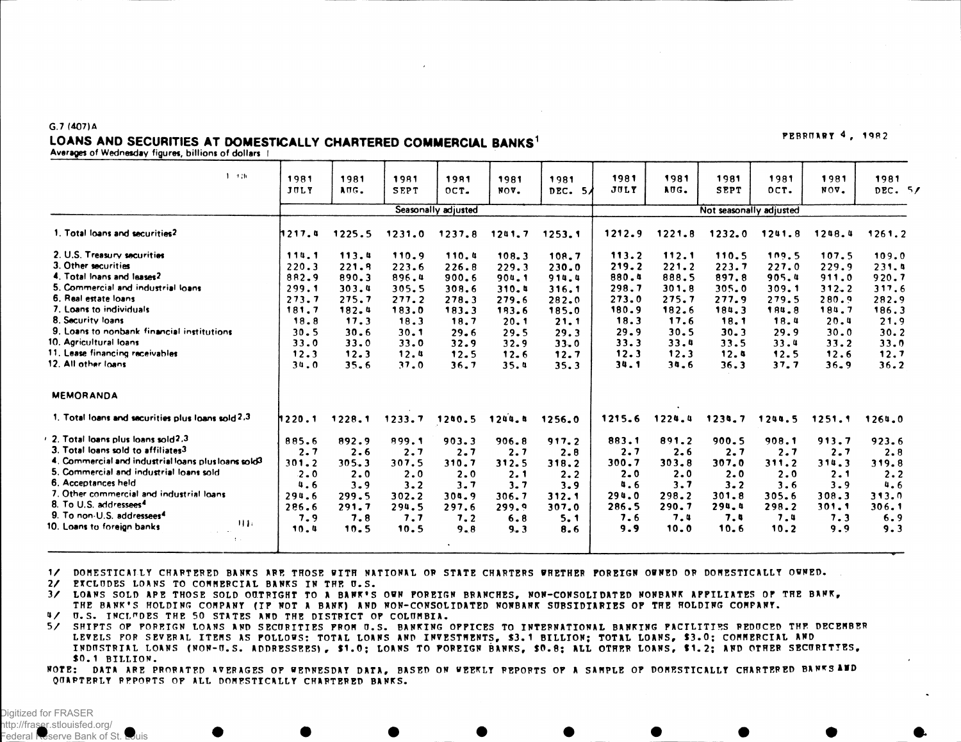## LOANS AND SECURITIES AT DOMESTICALLY CHARTERED COMMERCIAL BANKS<sup>1</sup> FEBRUARY 4, 1982<br>Averages of Wednesday figures, billions of dollars |

G.7 (407)A

| $1 - 1.36$                                          | 1981<br>JULY  | 1981<br>AUG. | 1981<br><b>SEPT</b> | 1981<br>OCT         | 1981<br>NOV. | 1981<br>DEC. 5/ | 1981<br><b>JULY</b>     | 1981<br>AUG. | 1981<br><b>SEPT</b> | 1981<br>OCT. | 1981<br>NOV. | 1981<br>DEC. $5/$ |  |
|-----------------------------------------------------|---------------|--------------|---------------------|---------------------|--------------|-----------------|-------------------------|--------------|---------------------|--------------|--------------|-------------------|--|
|                                                     |               |              |                     | Seasonally adjusted |              |                 | Not seasonally adjusted |              |                     |              |              |                   |  |
| 1. Total loans and securities?                      | <b>1217.4</b> | 1225.5       | 1231.0              | 1237.8              | 1241.7       | 1253.1          | 1212.9                  | 1221.8       | 1232.0              | 1241.8       | 1248.4       | 1261.2            |  |
| 2. U.S. Treasury securities                         | 114.1         | 113.4        | 110.9               | 110.4               | 108.3        | 108.7           | 113.2                   | 112.1        | 110.5               | 109.5        | 107.5        | 109.0             |  |
| 3. Other securities                                 | 220.3         | 221.9        | 223.6               | 226.8               | 229.3        | 230.0           | 219.2                   | 221.2        | 223.7               | 227.0        | 229.9        | 231.4             |  |
| 4. Total Inans and leases2                          | 882.9         | 890.3        | 896.4               | 900.6               | 904.1        | 914.4           | 880.4                   | 888.5        | 897.8               | 905.4        | 911.0        | 920.7             |  |
| 5. Commercial and industrial loans                  | 299.1         | 303.4        | 305.5               | 308.6               | 310.4        | 316.1           | 298.7                   | 301.8        | 305.0               | 309.1        | $312 - 2$    | 317.6             |  |
| 6. Real estate loans                                | 273.7         | 275.7        | 277.2               | 278.3               | 279.6        | 282.0           | 273.0                   | 275.7        | 277.9               | 279.5        | 280.9        | 282.9             |  |
| 7. Loans to individuals                             | 181.7         | 182.4        | 183.0               | 183.3               | 193.6        | 185.0           | 180.9                   | 182.6        | 184.3               | 184.8        | 184.7        | 186.3             |  |
| 8. Security loans                                   | 18.8          | 17.3         | 18.3                | 18.7                | 20.1         | 21.1            | 18.3                    | 17.6         | 18.1                | 18.4         | 20.4         | 21.9              |  |
| 9. Loans to nonbank financial institutions          | 30.5          | 30.6         | 30.1                | 29.6                | 29.5         | 29.3            | 29.9                    | 30.5         | 30.3                | 29.9         | 30.0         | 30.2              |  |
| 10. Agricultural loans                              | 33.0          | 33.0         | 33.0                | 32.9                | 32.9         | 33.0            | 33.3                    | 33.4         | 33.5                | 33.4         | 33.2         | 33.0              |  |
| 11. Lease financing receivables                     | 12.3          | 12.3         | 12.4                | 12.5                | 12.6         | 12.7            | 12.3                    | 12.3         | 12.4                | 12.5         | 12.6         | 12.7              |  |
| 12. All other loans                                 | 34.0          | 35.6         | 37.0                | 36.7                | 35.4         | 35.3            | 34.1                    | 34.6         | 36.3                | 37.7         | 36.9         | 36.2              |  |
| <b>MEMORANDA</b>                                    |               |              |                     |                     |              |                 |                         |              |                     |              |              |                   |  |
| 1. Total loans and securities plus loans sold 2.3   | 1220.1        | 1228.1       | 1233.7              | 1240.5              | 1244.8       | 1256.0          | 1215.6                  | 1224.4       | 1234.7              | 1244.5       | 1251.1       | 1264.0            |  |
| 2. Total loans plus loans sold?,3                   | 885.6         | 892.9        | 899.1               | 903.3               | 906.8        | 917.2           | 883.1                   | 891.2        | 900.5               | 908.1        | 913.7        | 923.6             |  |
| 3. Total loans sold to affiliates3                  | 2.7           | 2.6          | 2.7                 | 2.7                 | 2.7          | 2.8             | 2.7                     | 2.6          | 2.7                 | 2.7          | 2.7          | 2.8               |  |
| 4. Commercial and industrial loans plus loans sold? | 301.2         | 305.3        | 307.5               | 310.7               | 312.5        | 318.2           | 300.7                   | 303.8        | 307.0               | 311.2        | 314.3        | 319.8             |  |
| 5. Commercial and industrial loans sold             | 2.0           | 2.0          | 2.0                 | 2.0                 | 2.1          | 2.2             | $2 - 0$                 | 2.0          | 2.0                 | 2.0          | 2.1          | 2.2               |  |
| 6. Acceptances held                                 | 4.6           | 3.9          | 3.2                 | 3.7                 | 3.7          | 3.9             | 4.6                     | 3.7          | 3.2                 | 3.6          | 3.9          | 4.6               |  |
| 7. Other commercial and industrial loans.           | 294.6         | 299.5        | 302.2               | 304.9               | 306.7        | 312.1           | 294.0                   | 298.2        | 301.8               | 305.6        | 308.3        | 313.0             |  |
| 8. To U.S. addressees <sup>4</sup>                  | 286.6         | 291.7        | 294.5               | 297.6               | 299.9        | 307.0           | 286.5                   | 290.7        | 294.4               | 298.2        | 301.1        | 306.1             |  |
| 9. To non-U.S. addressees <sup>4</sup><br><b>HI</b> | 7.9           | 7.8          | 7.7                 | 7.2                 | 6.8          | 5.1             | 7.6                     | 7.4          | 7.4                 | 7.4          | 7.3          | 6.9               |  |
| 10. Loans to foreign banks                          | 10.4          | 10.5         | 10.5                | 9.8                 | 9.3          | 8.6             | 9.9                     | 10.0         | 10.6                | 10.2         | 9.9          | 9.3               |  |
| 本人                                                  |               |              |                     |                     |              |                 |                         |              |                     |              |              |                   |  |

1 / DOMESTICALLY CHAPTERED BANKS APE THOSE WITH NATIONAL OP STATE CHAPTERS WHETHER FOREIGN OWNED OP DOMESTICALLY OWNED.

2/ EXCLUDES LOANS TO COMMERCIAL BANKS IN THE U.S.

3/ LOANS SOLD APE THOSE SOLD OUTRIGHT TO A BANK'S OWN POREIGN BRANCHES, NON-CONSOLIDATED NONBANK APPILIATES OF THE BANK, THE BANK'S HOLDING COMPANY (IF NOT A BANK) AND NON-CONSOLIDATED NONBANK SUBSIDIARIES OF THE HOLDING COMPANY. 4/ U.S. INCLUDES THE 50 STATES AND THE DISTRICT OF COLUMBIA.

5 / SHIFTS OF FOREIGN LOANS AND SECURITIES FROM O.S . BANKING OFFICES TO INTERNATIONAL BANKING FACILITIE S REDUCED THF DECEMBER LEVELS FOR SEVERAL ITEMS AS POLLOWS: TOTAL LOANS AND INVESTMENTS, \$3.1 BILLION; TOTAL LOANS, \$3.0; COMMERCIAL AND INDUSTRIAL LOANS (NON-U.S. ADDRESSEES), \$1.0; LOANS TO POREIGN BANKS, \$0.8; ALL OTHER LOANS, \$1.2; AND OTHER SECURITIES, \$0. 1 BILLION .

NOTE: DATA ARE PRORATED AVERAGES OF WEDNESDAY DATA, BASED ON WEEKLY REPORTS OF A SAMPLE OF DOMESTICALLY CHARTERED BANKS AND QUARTERLY REPORTS OF ALL DOMESTICALLY CHAPTERED BANKS.

Digitized for FRASER http://fraser.stlouisfed.org/ Federal Reserve Bank of St.